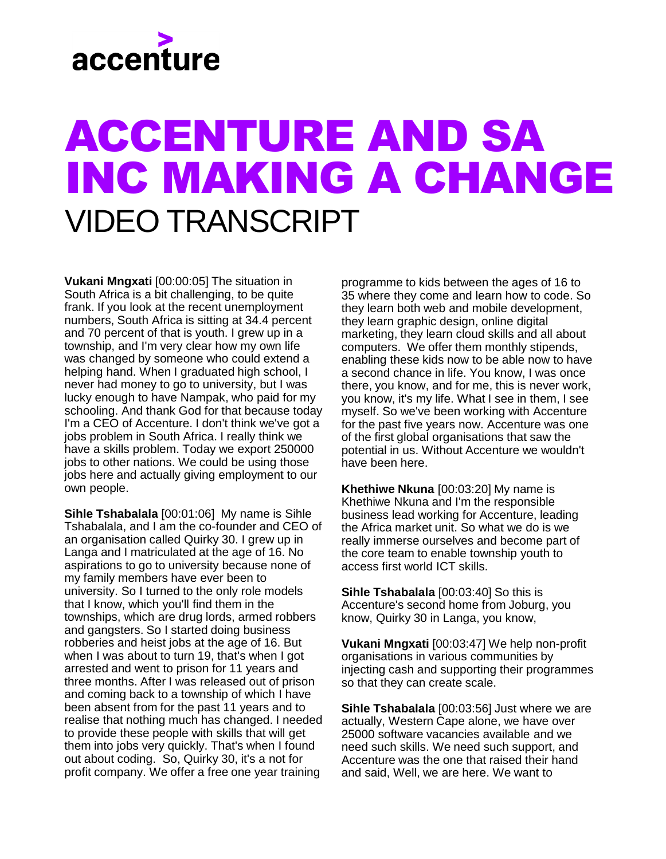## accenture

## ACCENTURE AND SA INC MAKING A CHANGE VIDEO TRANSCRIPT

**Vukani Mngxati** [00:00:05] The situation in South Africa is a bit challenging, to be quite frank. If you look at the recent unemployment numbers, South Africa is sitting at 34.4 percent and 70 percent of that is youth. I grew up in a township, and I'm very clear how my own life was changed by someone who could extend a helping hand. When I graduated high school, I never had money to go to university, but I was lucky enough to have Nampak, who paid for my schooling. And thank God for that because today I'm a CEO of Accenture. I don't think we've got a jobs problem in South Africa. I really think we have a skills problem. Today we export 250000 jobs to other nations. We could be using those jobs here and actually giving employment to our own people.

**Sihle Tshabalala** [00:01:06] My name is Sihle Tshabalala, and I am the co-founder and CEO of an organisation called Quirky 30. I grew up in Langa and I matriculated at the age of 16. No aspirations to go to university because none of my family members have ever been to university. So I turned to the only role models that I know, which you'll find them in the townships, which are drug lords, armed robbers and gangsters. So I started doing business robberies and heist jobs at the age of 16. But when I was about to turn 19, that's when I got arrested and went to prison for 11 years and three months. After I was released out of prison and coming back to a township of which I have been absent from for the past 11 years and to realise that nothing much has changed. I needed to provide these people with skills that will get them into jobs very quickly. That's when I found out about coding. So, Quirky 30, it's a not for profit company. We offer a free one year training

programme to kids between the ages of 16 to 35 where they come and learn how to code. So they learn both web and mobile development, they learn graphic design, online digital marketing, they learn cloud skills and all about computers. We offer them monthly stipends, enabling these kids now to be able now to have a second chance in life. You know, I was once there, you know, and for me, this is never work, you know, it's my life. What I see in them, I see myself. So we've been working with Accenture for the past five years now. Accenture was one of the first global organisations that saw the potential in us. Without Accenture we wouldn't have been here.

**Khethiwe Nkuna** [00:03:20] My name is Khethiwe Nkuna and I'm the responsible business lead working for Accenture, leading the Africa market unit. So what we do is we really immerse ourselves and become part of the core team to enable township youth to access first world ICT skills.

**Sihle Tshabalala** [00:03:40] So this is Accenture's second home from Joburg, you know, Quirky 30 in Langa, you know,

**Vukani Mngxati** [00:03:47] We help non-profit organisations in various communities by injecting cash and supporting their programmes so that they can create scale.

**Sihle Tshabalala** [00:03:56] Just where we are actually, Western Cape alone, we have over 25000 software vacancies available and we need such skills. We need such support, and Accenture was the one that raised their hand and said, Well, we are here. We want to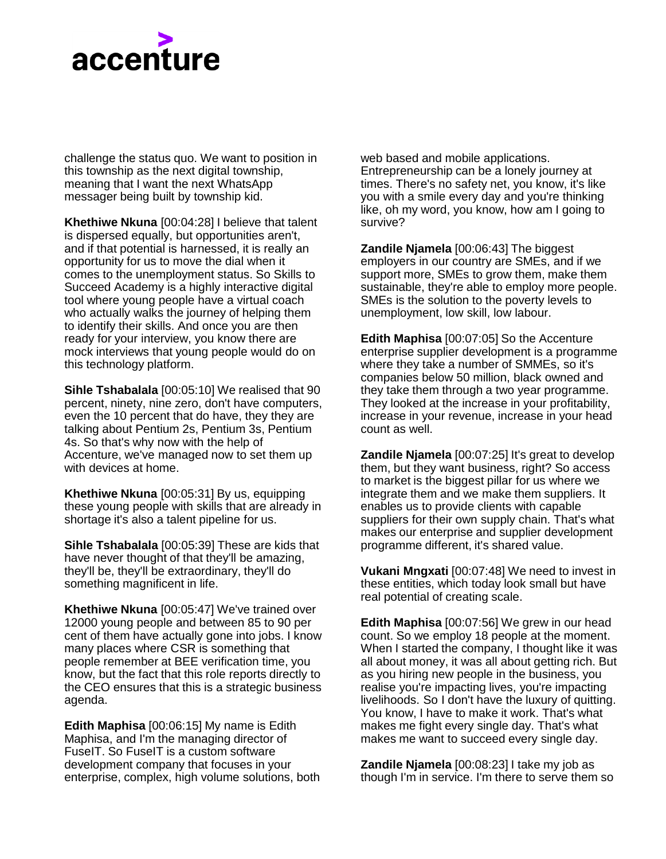## accenture

challenge the status quo. We want to position in this township as the next digital township, meaning that I want the next WhatsApp messager being built by township kid.

**Khethiwe Nkuna** [00:04:28] I believe that talent is dispersed equally, but opportunities aren't, and if that potential is harnessed, it is really an opportunity for us to move the dial when it comes to the unemployment status. So Skills to Succeed Academy is a highly interactive digital tool where young people have a virtual coach who actually walks the journey of helping them to identify their skills. And once you are then ready for your interview, you know there are mock interviews that young people would do on this technology platform.

**Sihle Tshabalala** [00:05:10] We realised that 90 percent, ninety, nine zero, don't have computers, even the 10 percent that do have, they they are talking about Pentium 2s, Pentium 3s, Pentium 4s. So that's why now with the help of Accenture, we've managed now to set them up with devices at home.

**Khethiwe Nkuna** [00:05:31] By us, equipping these young people with skills that are already in shortage it's also a talent pipeline for us.

**Sihle Tshabalala** [00:05:39] These are kids that have never thought of that they'll be amazing, they'll be, they'll be extraordinary, they'll do something magnificent in life.

**Khethiwe Nkuna** [00:05:47] We've trained over 12000 young people and between 85 to 90 per cent of them have actually gone into jobs. I know many places where CSR is something that people remember at BEE verification time, you know, but the fact that this role reports directly to the CEO ensures that this is a strategic business agenda.

**Edith Maphisa** [00:06:15] My name is Edith Maphisa, and I'm the managing director of FuseIT. So FuseIT is a custom software development company that focuses in your enterprise, complex, high volume solutions, both web based and mobile applications. Entrepreneurship can be a lonely journey at times. There's no safety net, you know, it's like you with a smile every day and you're thinking like, oh my word, you know, how am I going to survive?

**Zandile Njamela** [00:06:43] The biggest employers in our country are SMEs, and if we support more, SMEs to grow them, make them sustainable, they're able to employ more people. SMEs is the solution to the poverty levels to unemployment, low skill, low labour.

**Edith Maphisa** [00:07:05] So the Accenture enterprise supplier development is a programme where they take a number of SMMEs, so it's companies below 50 million, black owned and they take them through a two year programme. They looked at the increase in your profitability, increase in your revenue, increase in your head count as well.

**Zandile Njamela** [00:07:25] It's great to develop them, but they want business, right? So access to market is the biggest pillar for us where we integrate them and we make them suppliers. It enables us to provide clients with capable suppliers for their own supply chain. That's what makes our enterprise and supplier development programme different, it's shared value.

**Vukani Mngxati** [00:07:48] We need to invest in these entities, which today look small but have real potential of creating scale.

**Edith Maphisa** [00:07:56] We grew in our head count. So we employ 18 people at the moment. When I started the company, I thought like it was all about money, it was all about getting rich. But as you hiring new people in the business, you realise you're impacting lives, you're impacting livelihoods. So I don't have the luxury of quitting. You know, I have to make it work. That's what makes me fight every single day. That's what makes me want to succeed every single day.

**Zandile Njamela** [00:08:23] I take my job as though I'm in service. I'm there to serve them so